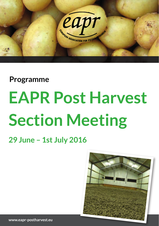

### **Programme**

# **EAPR Post Harvest Section Meeting**

### **29 June – 1st July 2016**

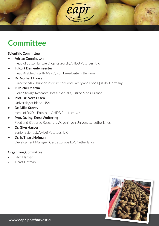

### **Committee**

#### **Scientific Committee**

- **Adrian Cunnington**  Head of Sutton Bridge Crop Research, AHDB Potatoes, UK
- **Ir. Kurt Demeulemeester** Head Arable Crop, INAGRO, Rumbeke-Beitem, Belgium
- **Dr. Norbert Haase** Director Max -Rubner Institute for Food Safety and Food Quality, Germany
- **Ir. Michel Martin** Head Storage Research, Institut Arvalis, Estree Mons, France
- **Prof. Dr. Nora Olsen** University of Idaho, USA
- **Dr. Mike Storey**  Head of R&D – Potatoes, AHDB Potatoes, UK
- **Prof. Dr. Ing. Ernst Woltering** Food and Biobased Research, Wageningen University, Netherlands
- **Dr. Glyn Harper** Senior Scientist, AHDB Potatoes, UK
- **Dr. Ir. Tjaart Hofman**  Development Manager, Certis Europe B.V., Netherlands

#### **Organizing Committee**

- Glyn Harper
- Tjaart Hofman

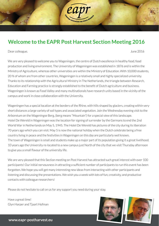### **Welcome to the EAPR Post Harvest Section Meeting 2016**

Dear colleague, June 2016

30

We are very pleased to welcome you to Wageningen, the centre of Dutch excellence in healthy food, food production and living environment. The University of Wageningen was established in 1876 and is within the Ministry of Agriculture, whereas other universities are within the Ministry of Education. With 10,000 students, 20 % of whom are from other countries, Wageningen is a relatively small and highly specialized university. Thanks to its relationship with the Agricultural Ministry in The Netherlands, the triangle between Research, Education and Farming practice is strongly established to the benefit of Dutch agriculture and business. Wageningen is known as Food Valley and many multinationals have research units based in the vicinity of the campus and work in close collaboration with the University.

Wageningen has a special location at the borders of the Rhine, with hills shaped by glaciers, creating within very short distances a large variety of soil types and associated vegetation. Join the Wednesday evening visit to the Arboretum on the Wageningse Berg, (berg means "Mountain") for a special view of this landscape. Hotel De Wereld in Wageningen was the location for signing of surrender by the Germans to end the 2nd World War in Netherlands on May 5, 1945. The Hotel De Wereld has pictures of the city during its liberation 70 years ago which you can visit. May 5 is now the national holiday when the Dutch celebrate being a free country living in peace and the festivities in Wageningen on this day are particularly well known. The town of Wageningen is small and students make up a major part of its population giving it a great livelihood. 10 years ago the University re-located to a new campus just North of the city that we visit Thursday afternoon to give you a small flavour of the university life.

We are very pleased that this Section meeting on Post Harvest has attracted such great interest with over 100 participants! Our initial nervousness in attracting a sufficient number of participants to run this event has been forgotten. We hope you will get many interesting new ideas from interacting with other participants and listening and discussing the presentations. We wish you a week with lots of fun, creativity, and productive contacts with colleague researchers!

Please do not hesitate to call on us for any support you need during your stay.

Have a great time! Glyn Harper and Tjaart Hofman



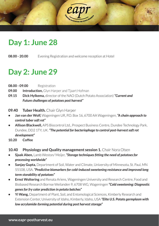

### **Day 1: June 28**

**08.00 - 20.00** Evening Registration and welcome reception at Hotel

### **Day 2: June 29**

- **08.00 09.00** Registration
- **09.00 Introduction,** Glyn Harper and Tjaart Hofman
- **09.15 Dick Hylkema,** director of the NAO (Dutch Potato Association) *"Current and Future challenges of potatoes post harvest"*
- **09.40 Tuber Health.** Chair Glyn Harper
- **Jan van der Wolf,** Wageningen UR, P.O. Box 16, 6700 AA Wageningen, *"A chain approach to control tuber soft rot"*
- **Allison Blackwell,** APS Biocontrol Ltd., Prospect Business Centre, Dundee Technology Park, Dundee, DD2 1TY, UK. *"The potential for bacteriophage to control post-harvest soft rot development"*
- **10.20 Coffee**
- **10.40 Physiology and Quality management session 1.** Chair Nora Olsen
- **Sjaak Aben,** Lamb Weston/ Meijer, *"Storage techniques fi tting the need of potatoes for processing worldwide"*
- **Sanjay Gupta,** Department of Soil, Water and Climate, University of Minnesota, St. Paul, MN 55108, USA. *"Predictive biomarkers for cold-induced sweetening resistance and improved long term storability of potatoes"*
- **Ernst Woltering** and Renata Ariens, Wageningen University and Research Centre, Food and Biobased Research Bornse Weilanden 9, 6708 WG, Wageningen *"Cold sweetening: Diagnostic genes for fry color prediction in potato batches"*
- **Yi Wang,** Department of Plant, Soil, and Entomological Sciences, Kimberly Research and Extension Center, University of Idaho, Kimberly, Idaho, USA *"Elite U.S. Potato germplasm with low acrylamide-forming potential during post harvest storage"*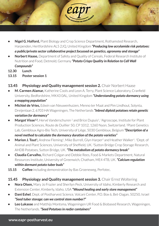

- **Nigel G. Halford,** Plant Biology and Crop Science Department, Rothamsted Research, Harpenden, Hertfordshire AL5 2JQ, United Kingdom *"Producing low acrylamide risk potatoes: a public/private sector collaborative project focussed on genetics, agronomy and storage"*
- **Norbert Haase,** Department of Safety and Quality of Cereals, Federal Research Institute of Nutrition and Food, Detmold, Germany *"Potato Crisps Quality in Relation to Cell Wall Compounds"*
- **12.30 Lunch**
- **13.15 Poster session 1**

#### **13.45 Physiology and Quality management session 2.** Chair Norbert Haase

- **M. Carmen Alamar,** Katherine Cools and Leon A. Terry, Plant Science Laboratory, Cranfield University, Bedfordshire, MK43 0AL, United Kingdom *"Understanding potato dormancy using a mapping population"*
- **Michiel de Vries,** Edwin van Nieuwenhuizen, Menno ter Maat and Pim Lindhout, Solynta, Dreijenlaan 2, 6703 HA Wageningen, The Netherlands *"Inbred diploid potatoes retain genetic variation for dormancy"*
- **Margot Visse<sup>1,2</sup>.** Hervé Vanderschuren<sup>2</sup> and Brice Dupuis<sup>1</sup>, <sup>1</sup>Agroscope, Institute for Plant Production Sciences, Route de Duillier 50, CP 1012, 1260 Nyon, Switzerland. 2Plant Genetics Lab, Gembloux Agro-Bio Tech, University of Liège, 5030 Gembloux, Belgium *"Description of a novel method to calculate the dormancy duration of the potato varieties"*
- **Marion J. Tout<sup>1</sup>.** Andrew Fleming<sup>1</sup>, Mike Burrell, Glyn Harper<sup>2</sup> and Heather Walker<sup>1</sup>, <sup>1</sup>Dept. of Animal and Plant Sciences, University of Sheffield, UK.<sup>2</sup> Sutton Bridge Crop Storage Research, AHDB Potatoes, Sutton Bridge, UK. *"The metabolism of potato dormancy break"*
- **Claudia Carvalho,** Richard Colgan and Debbie Rees, Food & Markets Department, Natural Resources Institute, University of Greenwich, Chatham, ME4 4TB, UK. *"Calcium regulation within dormant potato tuber buds"*
- **15.15 Coffee** including demonstration by Bas Groeneweg, Perfotec.

#### **15.45 Physiology and Quality management session 3.** Chair Ernst Woltering

- **Nora Olsen,** Mary Jo Frazier and Sherilyn Peck, University of Idaho, Kimberly Research and Extension Center, Kimberly, Idaho, USA *"Wound healing and early store management"*
- **Dani Eshel***,* Dept. of Postharvest Science, Volcani Center, P.O. Box 6, Bet-Dagan, 50250, Israel *"Seed tuber storage: can we control stem number?"*
- **Leo Lukasse** and Matthijs Montsma, Wageningen UR Food & Biobased Research, Wageningen, The Netherlands. *"Seed Potatoes in reefer containers"*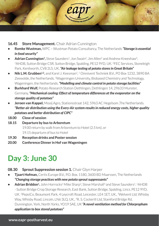

#### **16.45 Store Management.** Chair Adrian Cunnington

- **Romke Wustman,** WPC Wustman Potato Consultancy, The Netherlands *"Storage is essential in food security"*
- **Adrian Cunnington<sup>1</sup>**, Steve Saunders<sup>1</sup>, Jon Swain<sup>2</sup>, Jim Allen<sup>2</sup> and Andrew Kneeshaw<sup>2</sup>, 1AHDB, Sutton Bridge CSR, Sutton Bridge, Spalding, PE12 9YD, UK. 2FEC Services, Stoneleigh Park, Kenilworth, CV8 2LS, UK, *"Air leakage testing of potato stores in Great Britain"*
- **Nik L.M. Grubben<sup>1,2</sup>, and Karel J. Keesman<sup>2, 1</sup> Omnivent Techniek B.V., PO Box 1232, 3890 BA** Zeewolde, the Netherlands. 2Wageningen University, Biobased Chemistry and Technology, Wageningen, the Netherlands. *"Modelling and climate control in potato storage facilities"*
- **Burkhard Wulf,** Potato Research Station Dethlingen, Dethlingen 14, 29633 Munster, Germany, *"Mechanical cooling: Effect of temperature differences at the evaporator on the storage quality of potatoes"*
- **Jeroen van Kappel,** Mooij Agro, Stationsstraat 142, 5963 AC Hegelsom ,The Netherlands. *"Better air distribution using the Every-Air system results in reduced energy costs, higher quality potatoes and better distribution of CIPC"*
- **18.00 Close of session**
- **18.15 Departure by bus to Arboretum**  19.00 return by walk from Arboretum to Hotel (2.5 km), or 19.15 departure of bus to Hotel
- **19.30 Reception drinks and Poster session**
- **20.00 Conference Dinner in Hof van Wageningen**

## **Day 3: June 30**

#### **08.30 Sprout Suppression session 1.** Chair Glyn Harper

- **Tjaart Hofman,** Certis Europe B.V., P.O. Box. 1180, 3600 BD Maarssen, The Netherlands *"Changing storage practices with new potato sprout suppressants"*
- **Adrian Briddon<sup>1</sup>.** John Horrocks<sup>2</sup> Mike Sharp<sup>3</sup>, Steve Marshall<sup>4</sup> and Steve Saunders<sup>1</sup>. <sup>1</sup>AHDB - Sutton Bridge Crop Storage Research, East Bank, Sutton Bridge, Spalding, Lincs. PE12 9YD, UK. 2PepsiCo, Beaumont Park, 4 Leycroft Road, Leicester, LE4 1ET, UK., 3Welvent Ltd, Whisby Way, Whisby Road, Lincoln, LN6 3LQ, UK., 4R. S. Cockerill Ltd, Stamford Bridge Rd, Dunnington, York, North Yorks, YO19 5AE, UK *"A novel ventilation method for Chlorpropham application to box stored potatoes"*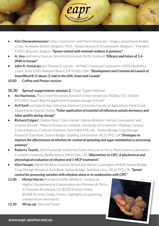

- **Kürt Demeulemeester<sup>1</sup>,** Marc Goeminne<sup>2</sup> and Marie Demarcke<sup>3</sup>, <sup>1</sup>Inagro, department Arable Crops, Rumbeke-Beitem, Belgium. 2PCA - Potato Research, Kruishoutem, Belgium1., 3Flanders' FOOD, Brussels, Belgium *"Sprout control with minimal residues in potatoes"*
- A. Jina and Harry Duncan, DormFresh Limited, Perth, Scotland "**Efficacy and future of 1,4-***DMN in Europe"*
- **John A. Immaraju** and Thomas E. Larsen, AMVAC Chemical Corporation, 4695 MacArthur Court, Suite 1200, Newport Beach, CA 92660, USA *"Development and Commercial Launch of SmartBlock® (3-decen-2-one) in the USA, Israel and Canada"*
- **10.00 Coffee and Poster session**

#### **10.30 Sprout suppression session 2.** Chair Tjaart Hofman

- **Avi Nachmias,** The Center for potato research in hot climate Ltd. P.O.Box 515 , Ofakim 8751401, Israel "Biox-M application in potato storage in Israel"
- **Arif Sanli** and Sabri Erbas, Süleyman Demirel University, Faculty of Agriculture, Field Crops Department, Isparta, Turkey "Foliar application of essential oil influences potato dormancy and *tuber quality during storage"*
- **Richard Colgan<sup>1</sup>**, Debbie Rees<sup>1</sup>, Glyn Harper<sup>2</sup>, Adrian Briddon<sup>2</sup>, Adrian Cunnington<sup>2</sup> and Graeme Stroud2, 1Natural Resources Institute, University of Greenwich, Medway Campus, Central Avenue, Chatham Maritime, Kent ME4 4TB, UK., 2Sutton Bridge Crop Storage Research, East Bank, Sutton Bridge, Spalding, Lincolnshire, PE12 9YD, UK *"Strategies to improve the effectiveness of ethylene for control of sprouting and sugar metabolism in processing potatoes"*
- **Roberta Tosetti,** Sofia Foukaraki, Katherine Cools and Leon A. Terry, Plant Science Laboratory, Cranfield University, Bedfordshire, MK43 0AL, UK "Alternatives to CIPC: A biochemical and *physiological evaluation of ethylene and 1-MCP treatments"*
- **Glyn Harper,** Adrian Briddon, Graeme Stroud and Adrian Cunnington, AHDB, Sutton Bridge Crop Storage Research, East Bank, Sutton Bridge, Spalding, Lincs. PE12 9YD, UK *"Sprout*

*control for processing varieties with ethylene alone or in combination with CIPC"*

- **12.00 Michel Martin** President EAPR, ARVALIS Institut du végétal, Equipement et Conservation des Pommes de Terre, 2 Chaussée Brunehaut, CS 30200 Estrees Mons, 80208 Peronne Cedex, France, Highlights on upcoming collaborations and events
- **12.20 Wrap-up.** Glyn and Tjaart

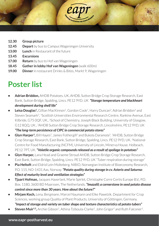

- **12.30 Group picture**
- **12.45 Depart** by bus to Campus Wageningen University
- **13.00 Lunch** in Restaurant of the future
- **13.45 Excursions**
- **17.00 Return** by bus to Hof van Wageningen
- **18.45 Gather in lobby Hof van Wageningen** (walk 600m)
- **19.00 Dinner** in restaurant Drinks & Bites, Markt 9, Wageningen

### **Poster list**

- **Adrian Briddon,** AHDB Potatoes, UK, AHDB, Sutton Bridge Crop Storage Research, East Bank, Sutton Bridge, Spalding, Lincs. PE12 9YD, UK *"Storage temperature and blackheart development during shelf life"*
- **Leisa Douglas<sup>1</sup>,** Gillian MacKinnon<sup>1</sup>, Gordon Cook<sup>1</sup>, Harry Duncan<sup>2</sup>, Adrian Briddon<sup>3</sup> and Steven Seamark3, 1Scottish Universities Environmental Research Centre, Rankine Avenue, East Kilbride, G75 0QF, UK., <sup>2</sup>School of Chemistry, Joseph Black Building, University of Glasgow, G12 8QQ, UK., 3AHDB Sutton Bridge Crop Storage Research, Lincolnshire, PE12 9YD, UK

*"The long-term persistence of CIPC in commercial potato stores"* 

- **Glyn Harper<sup>1</sup>**, Bill Hayes<sup>2</sup>, James Fothergill<sup>2</sup> and Bukola Daramola<sup>2</sup>. <sup>1</sup>AHDB, Sutton Bridge Crop Storage Research, East Bank, Sutton Bridge, Spalding, Lincs. PE12 9YD, UK. 2National Centre for Food Manufacturing (NCFM), University of Lincoln, Minerva House. Holbeach, PE12 7PT, UK. *"Volatile organic compounds released as a result of spoilage in potatoes"*
- **Glyn Harper,** Lana Head and Graeme Stroud AHDB, Sutton Bridge Crop Storage Research, East Bank, Sutton Bridge, Spalding, Lincs. PE12 9YD, UK "Tuber respiration during storage"
- **Pia Heltoft** and Eldrid Lein Molteberg. NIBIO, Norwegian Institute of Bioeconomy Research, P.O. 115, NO-1431 Aas, Norway. *"Potato quality during storage in cv. Asterix and Saturna: Effect of maturity level and ventilation strategies"*
- **Tjaart Hofman,** Jacques Haverlant, Marie Spirlet, Christophe Corre Certis Europe B.V., P.O. Box. 1180, 3600 BD Maarssen, The Netherlands. *"Imazalil; a cornerstone in seed potato disease control since more than 30 years. How about the future?"*
- **Mirjam Koch,** Lena, Bergmann, Marcel Naumann and Elke Pawelzik. Department for Crop Sciences, working group Quality of Plant Products, University of Göttingen, Germany. *"Impact of storage and variety on tuber shape and texture characteristics of potato tubers"*
- **Steven Muir<sup>1,2</sup>,** Archie Gibson<sup>1</sup>, Athina Tziboula-Clarke<sup>2</sup>, John Grigor<sup>2</sup> and Ruth Falconer<sup>2</sup>.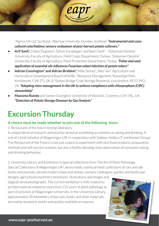1Agrico UK Ltd, Scotland. 2Abertay University, Dundee, Scotland. *"Instrumental and crosscultural cata/hedonıc sensory evaluatıon of post-harvest potato cultıvars."*

- **Arif Sanli**<sup>1</sup>, Hülya Özgönen<sup>2</sup>, Tahsin Karadogan<sup>1</sup> and Basri Sanli<sup>1</sup>, <sup>1</sup> Süleyman Demirel University, Faculty of Agriculture, Field Crops Department, Turkey., 2Süleyman Demirel University, Faculty of Agriculture, Plant Protection Department, Turkey. *"Foliar and seed application of essential oils infl uences Fusarium solani infection of potato tubers"*
- Adrian Cunnington<sup>2</sup> and Adrian Briddon<sup>2</sup>, Mike Storey<sup>1</sup>, Alice Sin<sup>1</sup>. Agriculture and Horticulture Development Board (AHDB), 1Resource Management, Stoneleigh Park, Kenilworth, CV8 2TL UK & <sup>2</sup>Sutton Bridge Crop Storage Research, Lincolnshire, PE12 9YD, UK *"Adapting store management in the UK to achieve compliance with chlorpropham (CIPC) stewardship"*
- **Massimo Rutolo** and James Covington. University of Warwick, Coventry, CV4 7AL, UK *"Detection of Potato Storage Diseases by Gas Analysis"*

## **Excursion Thursday**

 $\overline{160}$ 

#### **A choice must be made whether to join one of the following tours:**

#### 1. Restaurant of the future testing laboratory

A unique blend of research and practice aimed at something as common as eating and drinking. A one of a kind initiative of Wageningen UR, in cooperation with Sodexo, Noldus IT and Kampri Group. The Restaurant of the Future is not just a place to experiment with new food products, preparation methods and self-service systems, but also a facility allowing close observation of consumer eating and drinking behaviour.

2. University Library and Exhibition in Special collections from The Art of Plant Pathology. Special Collections of Wageningen UR Library holds, mainly printed, collections of rare and old books and journals, old and modern maps and atlases, nursery catalogues, garden and landscape

designs, agricultural machinery brochures, illustrations and images and (digital) aerial photographs. The current exhibition is fully related to printed material related to more than 125 years of plant pathology as part of activities at Wageningen University. In the University Library, approximately 30 kilometers of journals, books and other materials, are mainly located in stacks and quickly available on request.

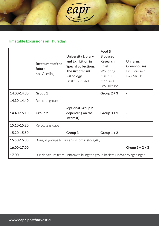

#### **Timetable Excursions on Thursday**

|             | <b>Restaurant of the</b><br>future<br>Ans Geerling                       | <b>University Library</b><br>and Exhibition in<br><b>Special collections:</b><br>The Art of Plant<br>Pathology<br>Liesbeth Missel | Food &<br><b>Biobased</b><br>Research<br><b>Frnst</b><br>Woltering<br>Matthijs<br>Montsma<br>Leo Lukasse | Unifarm,<br><b>Greenhouses</b><br>Erik Toussaint<br>Paul Struik |
|-------------|--------------------------------------------------------------------------|-----------------------------------------------------------------------------------------------------------------------------------|----------------------------------------------------------------------------------------------------------|-----------------------------------------------------------------|
| 14.00-14.30 | Group 1                                                                  |                                                                                                                                   | Group $2 + 3$                                                                                            |                                                                 |
| 14.30-14.40 | Relocate groups                                                          |                                                                                                                                   |                                                                                                          |                                                                 |
| 14.40-15.10 | Group <sub>2</sub>                                                       | (optional Group 2<br>depending on the<br>interest)                                                                                | Group $3+1$                                                                                              |                                                                 |
| 15.10-15.20 | Relocate groups                                                          |                                                                                                                                   |                                                                                                          |                                                                 |
| 15.20-15.50 |                                                                          | Group 3                                                                                                                           | Group $1+2$                                                                                              |                                                                 |
| 15.50-16.00 | Bring all groups to Unifarm (Bornsesteeg 48)                             |                                                                                                                                   |                                                                                                          |                                                                 |
| 16.00-17.00 |                                                                          |                                                                                                                                   |                                                                                                          | Group $1 + 2 + 3$                                               |
| 17.00       | Bus departure from Unifarm to bring the group back to Hof van Wageningen |                                                                                                                                   |                                                                                                          |                                                                 |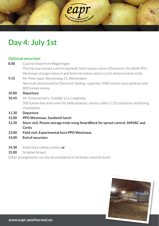

### **Day 4: July 1st**

### **Optional excursion**

| 8.00  | Coaches leave from Wageningen                                                             |
|-------|-------------------------------------------------------------------------------------------|
|       | The trip may include a visit to box/bulk Dutch potato stores (Omnivent), the WUR-PPO      |
|       | Westmaas storage research and field trial station and to Certis demonstration trials.     |
| 9.15  | Mr. Peter Ippel, Nerzienweg 15, Werkendam                                                 |
|       | New bulk stores build by Omnivent: holding capacities 1000 tonnes ware potatoes and       |
|       | 800 tonnes onions.                                                                        |
| 10.00 | <b>Departure</b>                                                                          |
| 10.45 | Mr. Schouwenaers, Zuiddijk 12 a, Langeweg                                                 |
|       | 500 tonnes box store units for table potatoes, onions, cellery. CO2 extraction and drying |
|       | installations.                                                                            |
| 11.30 | <b>Departure</b>                                                                          |
| 12.00 | PPO Westmaas. Sandwich lunch                                                              |
| 12.30 | Store visit. Potato storage trials using SmartBlock for sprout control. AMVAC and         |
|       | <b>Certis</b>                                                                             |
| 13.00 | Field visit. Experimental farm PPO Westmaas                                               |
| 14.00 | <b>End of excursion</b>                                                                   |
|       |                                                                                           |

- **14.30** Rotterdam railway station, **or**
- 15.00 Schiphol Airport

Other arrangements can also be considered to facilitate onwards travel.

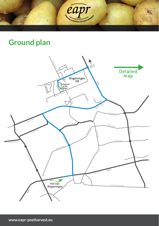

# **Ground plan**

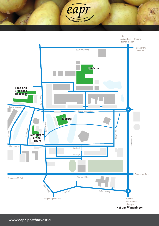

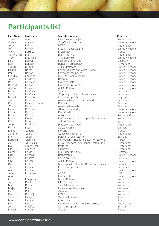### **Participants list**

Aben Alamar Bakker

**First Name Last Name Insitute/Company Country**

Sjaak Carmen Jeroen Jeff Alain Tanvir Singh Alison Lars Koen Adrian Heather Philip Claudia James Paul Richard Adrian Michiel Sicko Michel Jaap Kurt Wouter Leisa Harry Brice Maries Dani Joop Britta Emilie Jan-Eric Marnix Borghild Jan Bas Nick Norbert Nigel Harry **Glvn** Pia Tjaart Alan John Ajay Cor Tony Mariko Mirjam Paul Kees Sebastian Max Leo Johan Michel

Beever Berthet Bhatti Blackwell Bodker Bongers **Briddon** Briggs Britton Carvalho Clayton Coleman Colgan Cunnington De Vries De Vries DeDecker Delleman Demeulmeester Devlies Douglas Duncan Dupuis Elemans Eshel Esselink Füser Gauvrit Geersing Gijlers Glorvigen Gottschall Groeneweg Grubben Haase Halford Hansma Harper Heltoft Hofman Horgan Immaraju Jina Kempenaar Kievit Kihira Koch Kok Kristelijn Lafaye Largnier Lukasse Maelfeyt

LambWeston Meijer Cranfield University HZPC McCain Foods GB Ltd Kreglinger Bhatti Agritech APS Biocontrol Seges P/S Agro Food Bongers Aardappelen AHDB Potatoes Farmers Guardian/Potato Review Farmcare Trading Ltd University of Greenwich Restrain Greenvale AP Greenwich University AHDB Potatoes Solynta Wageningen University and Research Certis Europe B.V. Aardappelwereld/Potato World INAGRO Aardappelhoeve BV Glasgow University Dormfresh Agroscope NAO Nederlandse Aardappel Organisatie Volcani Center PPO Lelystad - WUR Spiess-Urania Florette Cebeco Agrochemie Belchim Crop Protection Norwegian Agricultural Extension Service NAO Nederlandse Aardappel Organisatie PerfoTec Omnivent Max Ruber Institute Rothamsted Certis eUROPE AHDB Potatoes Norwegian Institute for Bioeconomy Research Certis Europe B.V. Certis UK AMVAC Dormfresh Meijer Potato UPL Europe Van Hall Larenstein University of Gottingen Omnivent HZPC Terre de France Intersnack Wageningen University Storage research Certis Europe B.V. Arvalis

**Netherlands** United Kingdom **Netherlands** United Kingdom France Netherlands United Kingdom Denmark Netherlands United Kingdom United Kingdom United Kingdom United Kingdom United Kingdom United Kingdom United Kingdom United Kingdom **Netherlands Netherlands** Belgium Netherlands Belgium Belgium United Kingdom United Kingdom Switzerland **Netherlands** Israel Netherlands Germany France Netherlands Belgium Norway Netherlands Netherlands **Netherlands** Germany United Kingdom Netherlands United Kingdom Norway Netherlands United Kingdom USA United Kingdom **Netherlands** Netherlands Netherlands Germany **Netherlands** Netherlands France France Netherlands Belgium France

**Martin**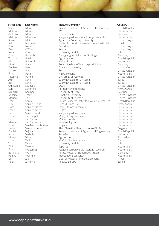| First Name      |
|-----------------|
| Vaclav          |
| Mathijs         |
| Andreas         |
| Mathijs         |
| Steven          |
| Avi             |
| David           |
| Paul            |
| Nora            |
| Elke            |
| Tomasz          |
| Richard         |
| Martin          |
| Debbie          |
|                 |
| Louise<br>Erika |
| Massimo         |
| Arif            |
| Bari            |
| Guillaume       |
| Luit            |
| Leonard         |
| Roberta         |
| Marion          |
| Josef           |
| Pim             |
| Hans            |
| Frank           |
| Jan             |
| Jeroen          |
| Leo             |
| Maarten         |
| Edwin           |
| Herve           |
| Daniel          |
| Isabel          |
| Margot          |
| John            |
| Yi              |
| Dirk            |
| Ernst           |
| Burkhard        |
| Romke           |
| Uri             |
| Milos           |

Mayer Meijer Meijer Montsma Muir Nachmias Nelson O'Connor Olsen Pawelzik Plistil Polderdijk Rave Rees Rix Roth Rutolo Sanli Sanli Saubeau Scholtens Shumbe Tosetti Tout Vacek Van de Griend Van den Oever Van der Werff Van der Wolf van Kannel van Marion van Mensvoort Van Nieuwenhuizen Vanderschuren Vejchar Verhulst Visse Walsh Wang

Weeder Woltering Wulf Wustman Zig Zivkovic

#### **First Name Last Name Insitute/Company Country**

Research Institute of Agricultural Engineering AVIKO Spiess-Urania Wageningen University Storage research Agrico UK / Abertay University Center for potato research in hot climate Ltd Branston Restrain University of Idaho Georg August University Gottingen Agroel, s. r. o. Meijer Potato Böhm Nordkartoffel Agrarproduktion Cranfield University Restrain HZPC Holland University of Warwick Suleyman Demirel University Suleyman Demirel University SASA Potatop Advice Holland University of Liege Cranfield University University of Sheffield Potato Research Institute, Havlickuv Brod, Ltd. Certis Europe B.V. Mooij Storage Technique HZPC Wageningen University Mooij Storage Technique McCain Foods Intersnackgroup Solynta Plant Genetics, Gembloux Agro-Bio Tech Research Institute of Agricultural Engineering PerfoTec Agroscope McCain North America University of Idaho TopCrop Wageningen University Storage research Potato Research Station Dethlingen Independent consultant Dept of Research and Development Pepsico Europe

Czech Republic Netherlands Germany Netherlands United Kingdom Israel United Kingdom United Kingdom USA Germany Czech Republic Netherlands Germany United Kingdom United Kingdom **Netherlands** United Kingdom **Turkey Turkey** United Kingdom **Netherlands** Belgium United Kingdom United Kingdom Czech Republic **Netherlands Netherlands Netherlands** Netherlands **Netherlands Netherlands** Netherlands Netherlands Belgium Czech Republic **Netherlands** Switzerland Canada USA Netherlands Netherlands Germany **Netherlands** Israel Serbia